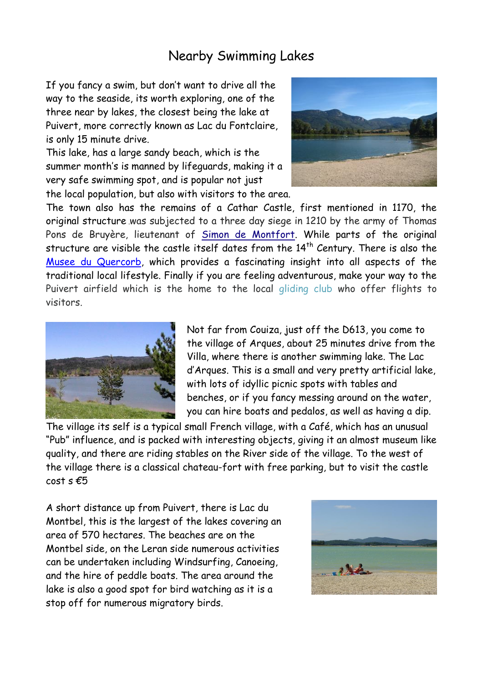## Nearby Swimming Lakes

If you fancy a swim, but don't want to drive all the way to the seaside, its worth exploring, one of the three near by lakes, the closest being the lake at Puivert, more correctly known as Lac du Fontclaire, is only 15 minute drive.

This lake, has a large sandy beach, which is the summer month's is manned by lifeguards, making it a very safe swimming spot, and is popular not just the local population, but also with visitors to the area.



The town also has the remains of a Cathar Castle, first mentioned in 1170, the original structure ,was subjected to a three day siege in 1210 by the army of Thomas Pons de Bruyère, lieutenant of [Simon de Montfort.](http://en.wikipedia.org/wiki/Simon_de_Montfort,_5th_Earl_of_Leicester) While parts of the original structure are visible the castle itself dates from the  $14<sup>th</sup>$  Century. There is also the [Musee du Quercorb,](http://www.quercorb.com/musee-du-quercorb/index.php) which provides a fascinating insight into all aspects of the traditional local lifestyle. Finally if you are feeling adventurous, make your way to the Puivert airfield which is the home to the local [gliding club](http://www.planeursdepuivert.net/Puivert/Accueil.html) who offer flights to visitors.



Not far from Couiza, just off the D613, you come to the village of Arques, about 25 minutes drive from the Villa, where there is another swimming lake. The Lac d'Arques. This is a small and very pretty artificial lake, with lots of idyllic picnic spots with tables and benches, or if you fancy messing around on the water, you can hire boats and pedalos, as well as having a dip.

The village its self is a typical small French village, with a Café, which has an unusual "Pub" influence, and is packed with interesting objects, giving it an almost museum like quality, and there are riding stables on the River side of the village. To the west of the village there is a classical chateau-fort with free parking, but to visit the castle  $cost$  s  $£5$ 

A short distance up from Puivert, there is Lac du Montbel, this is the largest of the lakes covering an area of 570 hectares. The beaches are on the Montbel side, on the Leran side numerous activities can be undertaken including Windsurfing, Canoeing, and the hire of peddle boats. The area around the lake is also a good spot for bird watching as it is a stop off for numerous migratory birds.